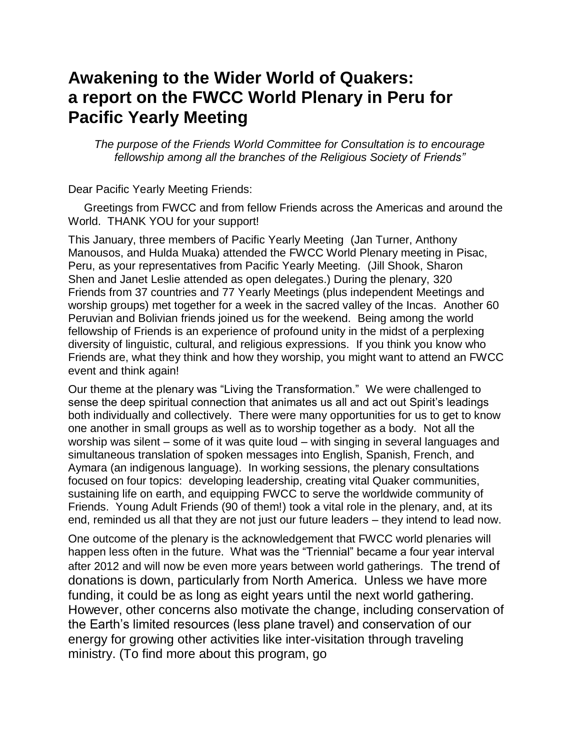## **Awakening to the Wider World of Quakers: a report on the FWCC World Plenary in Peru for Pacific Yearly Meeting**

*The purpose of the Friends World Committee for Consultation is to encourage fellowship among all the branches of the Religious Society of Friends"*

Dear Pacific Yearly Meeting Friends:

 Greetings from FWCC and from fellow Friends across the Americas and around the World. THANK YOU for your support!

This January, three members of Pacific Yearly Meeting (Jan Turner, Anthony Manousos, and Hulda Muaka) attended the FWCC World Plenary meeting in Pisac, Peru, as your representatives from Pacific Yearly Meeting. (Jill Shook, Sharon Shen and Janet Leslie attended as open delegates.) During the plenary, 320 Friends from 37 countries and 77 Yearly Meetings (plus independent Meetings and worship groups) met together for a week in the sacred valley of the Incas. Another 60 Peruvian and Bolivian friends joined us for the weekend. Being among the world fellowship of Friends is an experience of profound unity in the midst of a perplexing diversity of linguistic, cultural, and religious expressions. If you think you know who Friends are, what they think and how they worship, you might want to attend an FWCC event and think again!

Our theme at the plenary was "Living the Transformation." We were challenged to sense the deep spiritual connection that animates us all and act out Spirit's leadings both individually and collectively. There were many opportunities for us to get to know one another in small groups as well as to worship together as a body. Not all the worship was silent – some of it was quite loud – with singing in several languages and simultaneous translation of spoken messages into English, Spanish, French, and Aymara (an indigenous language). In working sessions, the plenary consultations focused on four topics: developing leadership, creating vital Quaker communities, sustaining life on earth, and equipping FWCC to serve the worldwide community of Friends. Young Adult Friends (90 of them!) took a vital role in the plenary, and, at its end, reminded us all that they are not just our future leaders – they intend to lead now.

One outcome of the plenary is the acknowledgement that FWCC world plenaries will happen less often in the future. What was the "Triennial" became a four year interval after 2012 and will now be even more years between world gatherings. The trend of donations is down, particularly from North America. Unless we have more funding, it could be as long as eight years until the next world gathering. However, other concerns also motivate the change, including conservation of the Earth's limited resources (less plane travel) and conservation of our energy for growing other activities like inter-visitation through traveling ministry. (To find more about this program, go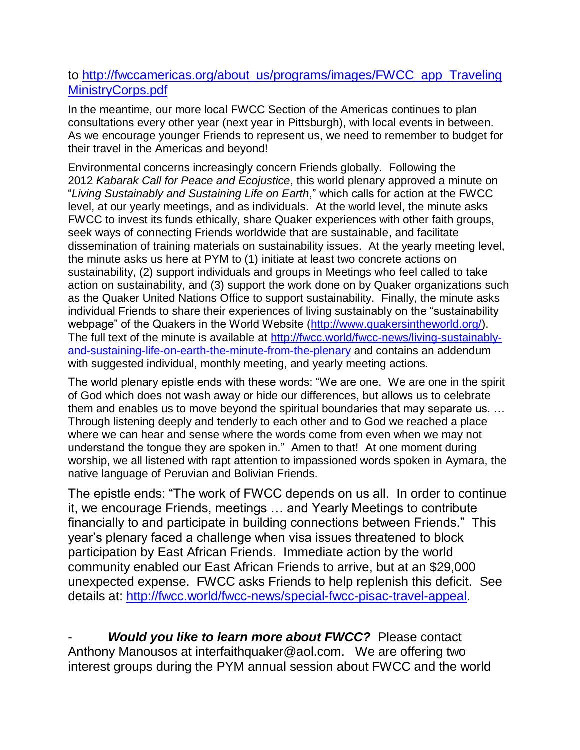## to [http://fwccamericas.org/about\\_us/programs/images/FWCC\\_app\\_Traveling](http://fwccamericas.org/about_us/programs/images/FWCC_app_TravelingMinistryCorps.pdf) [MinistryCorps.pdf](http://fwccamericas.org/about_us/programs/images/FWCC_app_TravelingMinistryCorps.pdf)

In the meantime, our more local FWCC Section of the Americas continues to plan consultations every other year (next year in Pittsburgh), with local events in between. As we encourage younger Friends to represent us, we need to remember to budget for their travel in the Americas and beyond!

Environmental concerns increasingly concern Friends globally. Following the 2012 *Kabarak Call for Peace and Ecojustice*, this world plenary approved a minute on "*Living Sustainably and Sustaining Life on Earth*," which calls for action at the FWCC level, at our yearly meetings, and as individuals. At the world level, the minute asks FWCC to invest its funds ethically, share Quaker experiences with other faith groups, seek ways of connecting Friends worldwide that are sustainable, and facilitate dissemination of training materials on sustainability issues. At the yearly meeting level, the minute asks us here at PYM to (1) initiate at least two concrete actions on sustainability, (2) support individuals and groups in Meetings who feel called to take action on sustainability, and (3) support the work done on by Quaker organizations such as the Quaker United Nations Office to support sustainability. Finally, the minute asks individual Friends to share their experiences of living sustainably on the "sustainability webpage" of the Quakers in the World Website [\(http://www.quakersintheworld.org/\)](http://www.quakersintheworld.org/). The full text of the minute is available at [http://fwcc.world/fwcc-news/living-sustainably](http://fwcc.world/fwcc-news/living-sustainably-and-sustaining-life-on-earth-the-minute-from-the-plenary)[and-sustaining-life-on-earth-the-minute-from-the-plenary](http://fwcc.world/fwcc-news/living-sustainably-and-sustaining-life-on-earth-the-minute-from-the-plenary) and contains an addendum with suggested individual, monthly meeting, and yearly meeting actions.

The world plenary epistle ends with these words: "We are one. We are one in the spirit of God which does not wash away or hide our differences, but allows us to celebrate them and enables us to move beyond the spiritual boundaries that may separate us. … Through listening deeply and tenderly to each other and to God we reached a place where we can hear and sense where the words come from even when we may not understand the tongue they are spoken in." Amen to that! At one moment during worship, we all listened with rapt attention to impassioned words spoken in Aymara, the native language of Peruvian and Bolivian Friends.

The epistle ends: "The work of FWCC depends on us all. In order to continue it, we encourage Friends, meetings … and Yearly Meetings to contribute financially to and participate in building connections between Friends." This year's plenary faced a challenge when visa issues threatened to block participation by East African Friends. Immediate action by the world community enabled our East African Friends to arrive, but at an \$29,000 unexpected expense. FWCC asks Friends to help replenish this deficit. See details at: [http://fwcc.world/fwcc-news/special-fwcc-pisac-travel-appeal.](http://fwcc.world/fwcc-news/special-fwcc-pisac-travel-appeal)

**Would you like to learn more about FWCC?** Please contact Anthony Manousos at interfaithquaker@aol.com. We are offering two interest groups during the PYM annual session about FWCC and the world